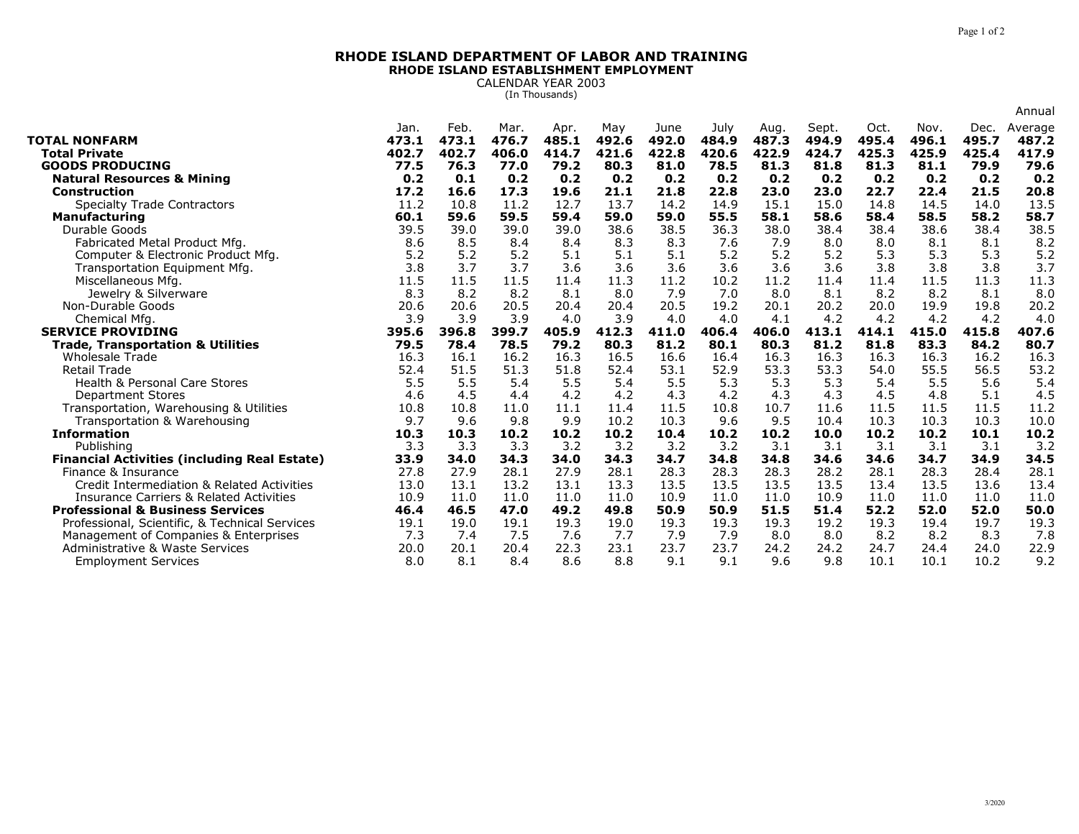## **RHODE ISLAND DEPARTMENT OF LABOR AND TRAININGRHODE ISLAND ESTABLISHMENT EMPLOYMENT**

CALENDAR YEAR 2003 (In Thousands)

|                                                                          |               |               |               |               |              |               |               |               |                |               |               |               | Annual           |
|--------------------------------------------------------------------------|---------------|---------------|---------------|---------------|--------------|---------------|---------------|---------------|----------------|---------------|---------------|---------------|------------------|
| <b>TOTAL NONFARM</b>                                                     | Jan.<br>473.1 | Feb.<br>473.1 | Mar.<br>476.7 | Apr.<br>485.1 | May<br>492.6 | June<br>492.0 | July<br>484.9 | Aug.<br>487.3 | Sept.<br>494.9 | Oct.<br>495.4 | Nov.<br>496.1 | Dec.<br>495.7 | Average<br>487.2 |
| <b>Total Private</b>                                                     | 402.7         | 402.7         | 406.0         | 414.7         | 421.6        | 422.8         | 420.6         | 422.9         | 424.7          | 425.3         | 425.9         | 425.4         | 417.9            |
| <b>GOODS PRODUCING</b>                                                   | 77.5          | 76.3          | 77.0          | 79.2          | 80.3         | 81.0          | 78.5          | 81.3          | 81.8           | 81.3          | 81.1          | 79.9          | 79.6             |
| <b>Natural Resources &amp; Mining</b>                                    | 0.2           | 0.1           | 0.2           | 0.2           | 0.2          | 0.2           | 0.2           | 0.2           | 0.2            | 0.2           | 0.2           | 0.2           | 0.2              |
| <b>Construction</b>                                                      | 17.2          | 16.6          | 17.3          | 19.6          | 21.1         | 21.8          | 22.8          | 23.0          | 23.0           | 22.7          | 22.4          | 21.5          | 20.8             |
| <b>Specialty Trade Contractors</b>                                       | 11.2          | 10.8          | 11.2          | 12.7          | 13.7         | 14.2          | 14.9          | 15.1          | 15.0           | 14.8          | 14.5          | 14.0          | 13.5             |
| <b>Manufacturing</b>                                                     | 60.1          | 59.6          | 59.5          | 59.4          | 59.0         | 59.0          | 55.5          | 58.1          | 58.6           | 58.4          | 58.5          | 58.2          | 58.7             |
| Durable Goods                                                            | 39.5          | 39.0          | 39.0          | 39.0          | 38.6         | 38.5          | 36.3          | 38.0          | 38.4           | 38.4          | 38.6          | 38.4          | 38.5             |
| Fabricated Metal Product Mfg.                                            | 8.6           | 8.5           | 8.4           | 8.4           | 8.3          | 8.3           | 7.6           | 7.9           | 8.0            | 8.0           | 8.1           | 8.1           | 8.2              |
| Computer & Electronic Product Mfg.                                       | 5.2           | 5.2           | 5.2           | 5.1           | 5.1          | 5.1           | 5.2           | 5.2           | 5.2            | 5.3           | 5.3           | 5.3           | 5.2              |
| Transportation Equipment Mfg.                                            | 3.8           | 3.7           | 3.7           | 3.6           | 3.6          | 3.6           | 3.6           | 3.6           | 3.6            | 3.8           | 3.8           | 3.8           | 3.7              |
| Miscellaneous Mfg.                                                       | 11.5          | 11.5          | 11.5          | 11.4          | 11.3         | 11.2          | 10.2          | 11.2          | 11.4           | 11.4          | 11.5          | 11.3          | 11.3             |
| Jewelry & Silverware                                                     | 8.3           | 8.2           | 8.2           | 8.1           | 8.0          | 7.9           | 7.0           | 8.0           | 8.1            | 8.2           | 8.2           | 8.1           | 8.0              |
| Non-Durable Goods                                                        | 20.6          | 20.6          | 20.5          | 20.4          | 20.4         | 20.5          | 19.2          | 20.1          | 20.2           | 20.0          | 19.9          | 19.8          | 20.2             |
| Chemical Mfg.                                                            | 3.9           | 3.9           | 3.9           | 4.0           | 3.9          | 4.0           | 4.0           | 4.1           | 4.2            | 4.2           | 4.2           | 4.2           | 4.0              |
| <b>SERVICE PROVIDING</b>                                                 | 395.6         | 396.8         | 399.7         | 405.9         | 412.3        | 411.0         | 406.4         | 406.0         | 413.1          | 414.1         | 415.0         | 415.8         | 407.6            |
| <b>Trade, Transportation &amp; Utilities</b>                             | 79.5          | 78.4          | 78.5          | 79.2          | 80.3         | 81.2          | 80.1          | 80.3          | 81.2           | 81.8          | 83.3          | 84.2          | 80.7             |
| <b>Wholesale Trade</b>                                                   | 16.3          | 16.1          | 16.2          | 16.3          | 16.5         | 16.6          | 16.4          | 16.3          | 16.3           | 16.3          | 16.3          | 16.2          | 16.3             |
|                                                                          |               |               |               |               |              |               |               |               |                |               |               |               |                  |
| <b>Retail Trade</b>                                                      | 52.4          | 51.5          | 51.3          | 51.8          | 52.4         | 53.1          | 52.9          | 53.3          | 53.3           | 54.0          | 55.5          | 56.5          | 53.2             |
| <b>Health &amp; Personal Care Stores</b>                                 | 5.5           | 5.5           | 5.4           | 5.5           | 5.4          | 5.5           | 5.3           | 5.3           | 5.3            | 5.4           | 5.5           | 5.6           | 5.4              |
| <b>Department Stores</b>                                                 | 4.6           | 4.5           | 4.4           | 4.2           | 4.2          | 4.3           | 4.2           | 4.3           | 4.3            | 4.5           | 4.8           | 5.1           | 4.5              |
| Transportation, Warehousing & Utilities                                  | 10.8          | 10.8          | 11.0          | 11.1          | 11.4         | 11.5          | 10.8          | 10.7          | 11.6           | 11.5          | 11.5          | 11.5          | 11.2             |
| Transportation & Warehousing                                             | 9.7           | 9.6           | 9.8           | 9.9           | 10.2         | 10.3          | 9.6           | 9.5           | 10.4           | 10.3          | 10.3          | 10.3          | 10.0             |
| <b>Information</b>                                                       | 10.3          | 10.3          | 10.2          | 10.2          | 10.2         | 10.4          | 10.2          | 10.2          | 10.0           | 10.2          | 10.2          | 10.1          | 10.2             |
| Publishing                                                               | 3.3           | 3.3           | 3.3           | 3.2           | 3.2          | 3.2           | 3.2           | 3.1           | 3.1            | 3.1           | 3.1           | 3.1           | 3.2              |
| <b>Financial Activities (including Real Estate)</b>                      | 33.9          | 34.0          | 34.3          | 34.0          | 34.3         | 34.7          | 34.8          | 34.8          | 34.6           | 34.6          | 34.7          | 34.9          | 34.5             |
| Finance & Insurance                                                      | 27.8          | 27.9          | 28.1          | 27.9          | 28.1         | 28.3          | 28.3          | 28.3          | 28.2           | 28.1          | 28.3          | 28.4          | 28.1             |
| Credit Intermediation & Related Activities                               | 13.0          | 13.1          | 13.2          | 13.1          | 13.3         | 13.5          | 13.5          | 13.5          | 13.5           | 13.4          | 13.5          | 13.6          | 13.4             |
| <b>Insurance Carriers &amp; Related Activities</b>                       | 10.9          | 11.0          | 11.0          | 11.0          | 11.0         | 10.9          | 11.0          | 11.0          | 10.9           | 11.0          | 11.0          | 11.0          | 11.0             |
| <b>Professional &amp; Business Services</b>                              | 46.4          | 46.5          | 47.0          | 49.2          | 49.8         | 50.9          | 50.9          | 51.5          | 51.4           | 52.2          | 52.0          | 52.0          | 50.0             |
| Professional, Scientific, & Technical Services                           | 19.1          | 19.0          | 19.1          | 19.3          | 19.0         | 19.3          | 19.3          | 19.3          | 19.2           | 19.3          | 19.4          | 19.7          | 19.3             |
| Management of Companies & Enterprises<br>Administrative & Waste Services | 7.3<br>20.0   | 7.4<br>20.1   | 7.5<br>20.4   | 7.6<br>22.3   | 7.7<br>23.1  | 7.9<br>23.7   | 7.9<br>23.7   | 8.0<br>24.2   | 8.0<br>24.2    | 8.2<br>24.7   | 8.2<br>24.4   | 8.3<br>24.0   | 7.8<br>22.9      |